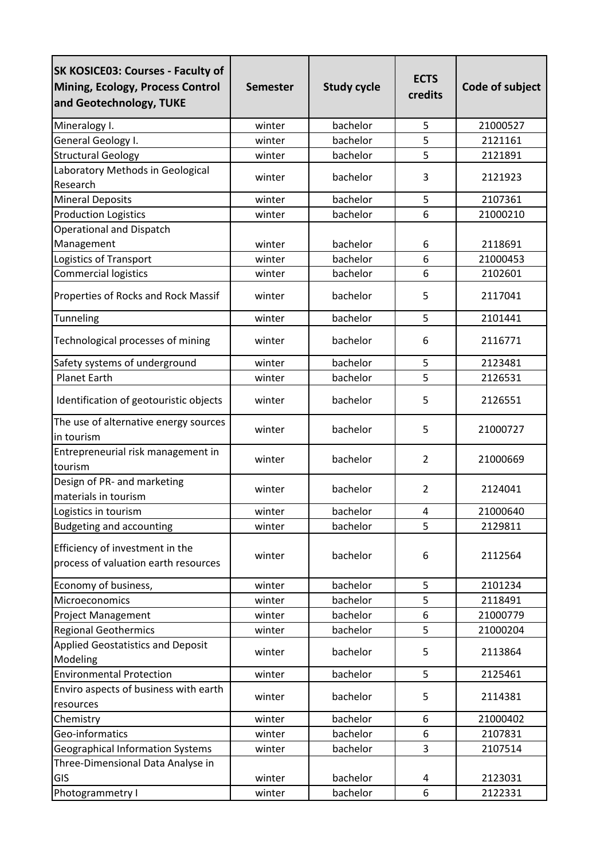| <b>SK KOSICE03: Courses - Faculty of</b><br>Mining, Ecology, Process Control<br>and Geotechnology, TUKE | <b>Semester</b> | <b>Study cycle</b> | <b>ECTS</b><br>credits | Code of subject |
|---------------------------------------------------------------------------------------------------------|-----------------|--------------------|------------------------|-----------------|
| Mineralogy I.                                                                                           | winter          | bachelor           | 5                      | 21000527        |
| General Geology I.                                                                                      | winter          | bachelor           | 5                      | 2121161         |
| <b>Structural Geology</b>                                                                               | winter          | bachelor           | 5                      | 2121891         |
| Laboratory Methods in Geological                                                                        |                 |                    |                        |                 |
| Research                                                                                                | winter          | bachelor           | 3                      | 2121923         |
| <b>Mineral Deposits</b>                                                                                 | winter          | bachelor           | 5                      | 2107361         |
| <b>Production Logistics</b>                                                                             | winter          | bachelor           | 6                      | 21000210        |
| Operational and Dispatch                                                                                |                 |                    |                        |                 |
| Management                                                                                              | winter          | bachelor           | 6                      | 2118691         |
| Logistics of Transport                                                                                  | winter          | bachelor           | 6                      | 21000453        |
| <b>Commercial logistics</b>                                                                             | winter          | bachelor           | 6                      | 2102601         |
| Properties of Rocks and Rock Massif                                                                     | winter          | bachelor           | 5                      | 2117041         |
| Tunneling                                                                                               | winter          | bachelor           | 5                      | 2101441         |
| Technological processes of mining                                                                       | winter          | bachelor           | 6                      | 2116771         |
| Safety systems of underground                                                                           | winter          | bachelor           | 5                      | 2123481         |
| <b>Planet Earth</b>                                                                                     | winter          | bachelor           | 5                      | 2126531         |
| Identification of geotouristic objects                                                                  | winter          | bachelor           | 5                      | 2126551         |
| The use of alternative energy sources<br>in tourism                                                     | winter          | bachelor           | 5                      | 21000727        |
| Entrepreneurial risk management in<br>tourism                                                           | winter          | bachelor           | $\overline{2}$         | 21000669        |
| Design of PR- and marketing<br>materials in tourism                                                     | winter          | bachelor           | $\overline{2}$         | 2124041         |
| Logistics in tourism                                                                                    | winter          | bachelor           | 4                      | 21000640        |
| <b>Budgeting and accounting</b>                                                                         | winter          | bachelor           | 5                      | 2129811         |
| Efficiency of investment in the<br>process of valuation earth resources                                 | winter          | bachelor           | 6                      | 2112564         |
| Economy of business,                                                                                    | winter          | bachelor           | 5                      | 2101234         |
| Microeconomics                                                                                          | winter          | bachelor           | 5                      | 2118491         |
| <b>Project Management</b>                                                                               | winter          | bachelor           | 6                      | 21000779        |
| <b>Regional Geothermics</b>                                                                             | winter          | bachelor           | 5                      | 21000204        |
| <b>Applied Geostatistics and Deposit</b><br>Modeling                                                    | winter          | bachelor           | 5                      | 2113864         |
| <b>Environmental Protection</b>                                                                         | winter          | bachelor           | 5                      | 2125461         |
| Enviro aspects of business with earth<br>resources                                                      | winter          | bachelor           | 5                      | 2114381         |
| Chemistry                                                                                               | winter          | bachelor           | 6                      | 21000402        |
| Geo-informatics                                                                                         | winter          | bachelor           | 6                      | 2107831         |
| <b>Geographical Information Systems</b>                                                                 | winter          | bachelor           | 3                      | 2107514         |
| Three-Dimensional Data Analyse in                                                                       |                 |                    |                        |                 |
| GIS                                                                                                     | winter          | bachelor           | 4                      | 2123031         |
| Photogrammetry I                                                                                        | winter          | bachelor           | 6                      | 2122331         |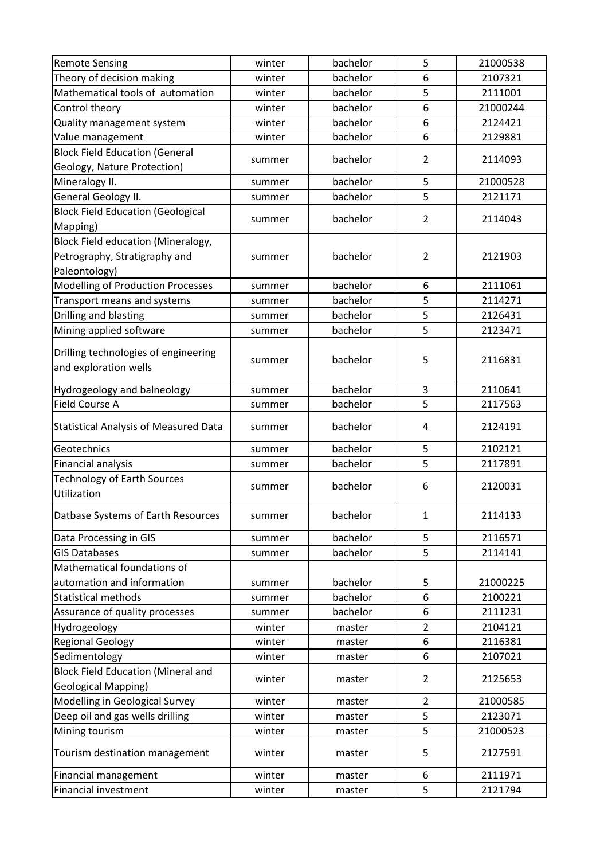| <b>Remote Sensing</b>                        | winter | bachelor | 5              | 21000538 |
|----------------------------------------------|--------|----------|----------------|----------|
| Theory of decision making                    | winter | bachelor | 6              | 2107321  |
| Mathematical tools of automation             | winter | bachelor | 5              | 2111001  |
| Control theory                               | winter | bachelor | 6              | 21000244 |
| Quality management system                    | winter | bachelor | 6              | 2124421  |
| Value management                             | winter | bachelor | 6              | 2129881  |
| <b>Block Field Education (General</b>        |        |          |                |          |
| Geology, Nature Protection)                  | summer | bachelor | $\overline{2}$ | 2114093  |
| Mineralogy II.                               | summer | bachelor | 5              | 21000528 |
| General Geology II.                          | summer | bachelor | 5              | 2121171  |
| <b>Block Field Education (Geological</b>     |        | bachelor | $\overline{2}$ |          |
| Mapping)                                     | summer |          |                | 2114043  |
| <b>Block Field education (Mineralogy,</b>    |        |          |                |          |
| Petrography, Stratigraphy and                | summer | bachelor | $\overline{2}$ | 2121903  |
| Paleontology)                                |        |          |                |          |
| Modelling of Production Processes            | summer | bachelor | 6              | 2111061  |
| Transport means and systems                  | summer | bachelor | 5              | 2114271  |
| Drilling and blasting                        | summer | bachelor | 5              | 2126431  |
| Mining applied software                      | summer | bachelor | 5              | 2123471  |
| Drilling technologies of engineering         |        |          |                |          |
| and exploration wells                        | summer | bachelor | 5              | 2116831  |
|                                              |        |          |                |          |
| Hydrogeology and balneology                  | summer | bachelor | 3              | 2110641  |
| Field Course A                               | summer | bachelor | 5              | 2117563  |
| <b>Statistical Analysis of Measured Data</b> | summer | bachelor | 4              | 2124191  |
| Geotechnics                                  | summer | bachelor | 5              | 2102121  |
| Financial analysis                           | summer | bachelor | 5              | 2117891  |
| <b>Technology of Earth Sources</b>           |        | bachelor |                | 2120031  |
| Utilization                                  | summer |          | 6              |          |
| Datbase Systems of Earth Resources           | summer | bachelor | 1              | 2114133  |
| Data Processing in GIS                       | summer | bachelor | 5              | 2116571  |
| <b>GIS Databases</b>                         | summer | bachelor | 5              | 2114141  |
| Mathematical foundations of                  |        |          |                |          |
| automation and information                   | summer | bachelor | 5              | 21000225 |
| <b>Statistical methods</b>                   | summer | bachelor | 6              | 2100221  |
| Assurance of quality processes               | summer | bachelor | 6              | 2111231  |
| Hydrogeology                                 | winter | master   | $\overline{2}$ | 2104121  |
| <b>Regional Geology</b>                      | winter | master   | 6              | 2116381  |
| Sedimentology                                | winter | master   | 6              | 2107021  |
| <b>Block Field Education (Mineral and</b>    |        |          | $\overline{2}$ |          |
| <b>Geological Mapping)</b>                   | winter | master   |                | 2125653  |
| Modelling in Geological Survey               | winter | master   | $\overline{2}$ | 21000585 |
| Deep oil and gas wells drilling              | winter | master   | 5              | 2123071  |
| Mining tourism                               | winter | master   | 5              | 21000523 |
| Tourism destination management               | winter | master   | 5              | 2127591  |
| Financial management                         | winter | master   | 6              | 2111971  |
| <b>Financial investment</b>                  | winter | master   | 5              | 2121794  |